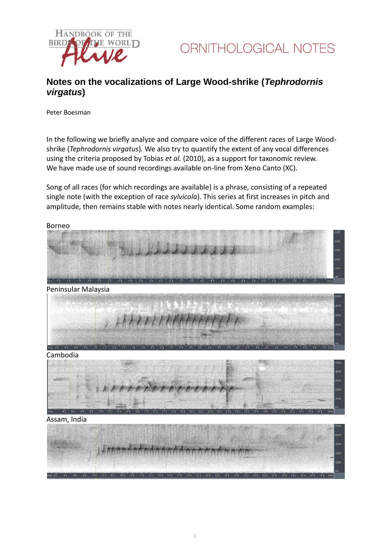

## **Notes on the vocalizations of Large Wood-shrike (***Tephrodornis virgatus***)**

Peter Boesman

In the following we briefly analyze and compare voice of the different races of Large Woodshrike (*Tephrodornis virgatus*)*.* We also try to quantify the extent of any vocal differences using the criteria proposed by Tobias *et al.* (2010), as a support for taxonomic review. We have made use of sound recordings available on-line from Xeno Canto (XC).

Song of all races (for which recordings are available) is a phrase, consisting of a repeated single note (with the exception of race *sylvicola*). This series at first increases in pitch and amplitude, then remains stable with notes nearly identical. Some random examples:



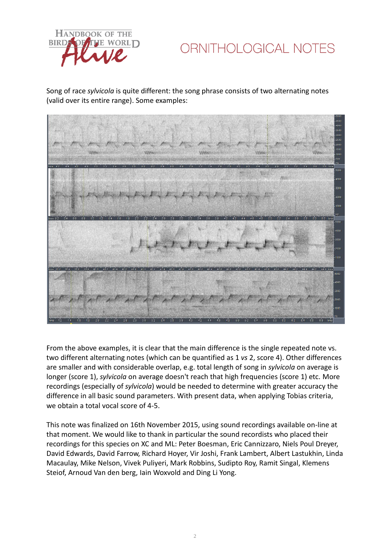

ORNITHOLOGICAL NOTES

Song of race *sylvicola* is quite different: the song phrase consists of two alternating notes (valid over its entire range). Some examples:



From the above examples, it is clear that the main difference is the single repeated note vs. two different alternating notes (which can be quantified as 1 *vs* 2, score 4). Other differences are smaller and with considerable overlap, e.g. total length of song in *sylvicola* on average is longer (score 1), *sylvicola* on average doesn't reach that high frequencies (score 1) etc. More recordings (especially of *sylvicola*) would be needed to determine with greater accuracy the difference in all basic sound parameters. With present data, when applying Tobias criteria, we obtain a total vocal score of 4-5.

This note was finalized on 16th November 2015, using sound recordings available on-line at that moment. We would like to thank in particular the sound recordists who placed their recordings for this species on XC and ML: Peter Boesman, Eric Cannizzaro, Niels Poul Dreyer, David Edwards, David Farrow, Richard Hoyer, Vir Joshi, Frank Lambert, Albert Lastukhin, Linda Macaulay, Mike Nelson, Vivek Puliyeri, Mark Robbins, Sudipto Roy, Ramit Singal, Klemens Steiof, Arnoud Van den berg, Iain Woxvold and Ding Li Yong.